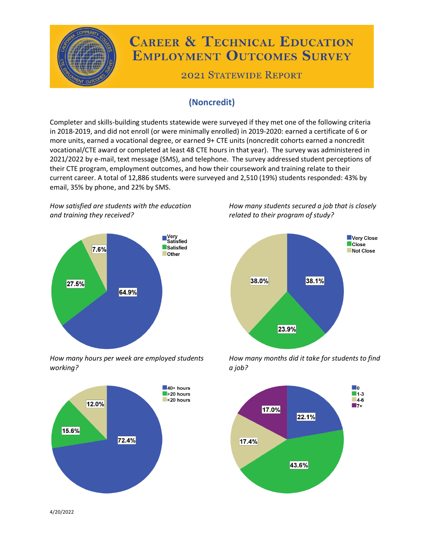

# **CAREER & TECHNICAL EDUCATION EMPLOYMENT OUTCOMES SURVEY**

**2021 STATEWIDE REPORT** 

# **(Noncredit)**

Completer and skills-building students statewide were surveyed if they met one of the following criteria in 2018-2019, and did not enroll (or were minimally enrolled) in 2019-2020: earned a certificate of 6 or more units, earned a vocational degree, or earned 9+ CTE units (noncredit cohorts earned a noncredit vocational/CTE award or completed at least 48 CTE hours in that year). The survey was administered in 2021/2022 by e-mail, text message (SMS), and telephone. The survey addressed student perceptions of their CTE program, employment outcomes, and how their coursework and training relate to their current career. A total of 12,886 students were surveyed and 2,510 (19%) students responded: 43% by email, 35% by phone, and 22% by SMS.

*How satisfied are students with the education and training they received?*



*How many hours per week are employed students working?*



*How many students secured a job that is closely related to their program of study?*



*How many months did it take for students to find a job?*



4/20/2022